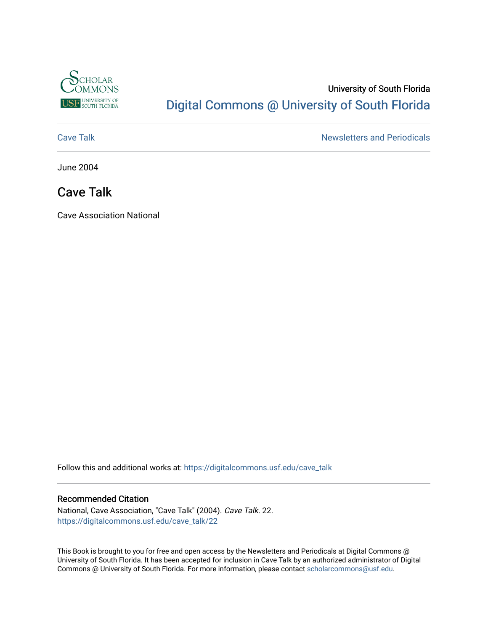

### University of South Florida [Digital Commons @ University of South Florida](https://digitalcommons.usf.edu/)

[Cave Talk](https://digitalcommons.usf.edu/cave_talk) **Newsletters** and Periodicals

June 2004

### Cave Talk

Cave Association National

Follow this and additional works at: [https://digitalcommons.usf.edu/cave\\_talk](https://digitalcommons.usf.edu/cave_talk?utm_source=digitalcommons.usf.edu%2Fcave_talk%2F22&utm_medium=PDF&utm_campaign=PDFCoverPages) 

#### Recommended Citation

National, Cave Association, "Cave Talk" (2004). Cave Talk. 22. [https://digitalcommons.usf.edu/cave\\_talk/22](https://digitalcommons.usf.edu/cave_talk/22?utm_source=digitalcommons.usf.edu%2Fcave_talk%2F22&utm_medium=PDF&utm_campaign=PDFCoverPages)

This Book is brought to you for free and open access by the Newsletters and Periodicals at Digital Commons @ University of South Florida. It has been accepted for inclusion in Cave Talk by an authorized administrator of Digital Commons @ University of South Florida. For more information, please contact [scholarcommons@usf.edu](mailto:scholarcommons@usf.edu).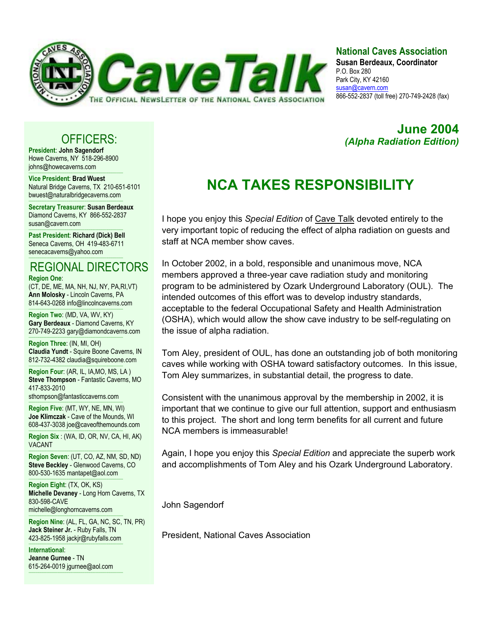

### **National Caves Association**

**Susan Berdeaux, Coordinator** P.O. Box 280 Park City, KY 42160 susan@cavern.com 866-552-2837 (toll free) 270-749-2428 (fax)

*(Alpha Radiation Edition)* 

**June 2004** 

### OFFICERS:

**President**: **John Sagendorf** Howe Caverns, NY 518-296-8900 johns@howecaverns.com

----------------------------------------------------------------------------------------- **Vice President**: **Brad Wuest** Natural Bridge Caverns, TX 210-651-6101 bwuest@naturalbridgecaverns.com

----------------------------------------------------------------------------------------- **Secretary Treasurer**: **Susan Berdeaux** Diamond Caverns, KY 866-552-2837 susan@cavern.com

----------------------------------------------------------------------------------------- **Past President**: **Richard (Dick) Bell** Seneca Caverns, OH 419-483-6711 senecacaverns@yahoo.com

### ----------------------------------------------------------------------------------------- REGIONAL DIRECTORS

**Region One**:

(CT, DE, ME, MA, NH, NJ, NY, PA,RI,VT) **Ann Molosky** - Lincoln Caverns, PA 814-643-0268 info@lincolncaverns.com

----------------------------------------------------------------------------------------- **Region Two**: (MD, VA, WV, KY) **Gary Berdeaux** - Diamond Caverns, KY 270-749-2233 gary@diamondcaverns.com

----------------------------------------------------------------------------------------- **Region Three**: (IN, MI, OH) **Claudia Yundt** - Squire Boone Caverns, IN 812-732-4382 claudia@squireboone.com

**Region Four**: (AR, IL, IA,MO, MS, LA ) **Steve Thompson** - Fantastic Caverns, MO 417-833-2010

sthompson@fantasticcaverns.com

-----------------------------------------------------------------------------------------

----------------------------------------------------------------------------------------- **Region Five**: (MT, WY, NE, MN, WI) **Joe Klimczak** - Cave of the Mounds, WI 608-437-3038 joe@caveofthemounds.com

----------------------------------------------------------------------------------------- **Region Six** : (WA, ID, OR, NV, CA, HI, AK) VACANT

----------------------------------------------------------------------------------------- **Region Seven**: (UT, CO, AZ, NM, SD, ND) **Steve Beckley** - Glenwood Caverns, CO 800-530-1635 mantapet@aol.com

-----------------------------------------------------------------------------------------

**Region Eight**: (TX, OK, KS) **Michelle Devaney** - Long Horn Caverns, TX 830-598-CAVE michelle@longhorncaverns.com

----------------------------------------------------------------------------------------- **Region Nine**: (AL, FL, GA, NC, SC, TN, PR) **Jack Steiner Jr.** - Ruby Falls, TN 423-825-1958 jackjr@rubyfalls.com

**International**: **Jeanne Gurnee** - TN 615-264-0019 jgurnee@aol.com -----------------------------------------------------------------------------------------

-----------------------------------------------------------------------------------------

# **NCA TAKES RESPONSIBILITY**

I hope you enjoy this *Special Edition* of Cave Talk devoted entirely to the very important topic of reducing the effect of alpha radiation on guests and staff at NCA member show caves.

In October 2002, in a bold, responsible and unanimous move, NCA members approved a three-year cave radiation study and monitoring program to be administered by Ozark Underground Laboratory (OUL). The intended outcomes of this effort was to develop industry standards, acceptable to the federal Occupational Safety and Health Administration (OSHA), which would allow the show cave industry to be self-regulating on the issue of alpha radiation.

Tom Aley, president of OUL, has done an outstanding job of both monitoring caves while working with OSHA toward satisfactory outcomes. In this issue, Tom Aley summarizes, in substantial detail, the progress to date.

Consistent with the unanimous approval by the membership in 2002, it is important that we continue to give our full attention, support and enthusiasm to this project. The short and long term benefits for all current and future NCA members is immeasurable!

Again, I hope you enjoy this *Special Edition* and appreciate the superb work and accomplishments of Tom Aley and his Ozark Underground Laboratory.

John Sagendorf

President, National Caves Association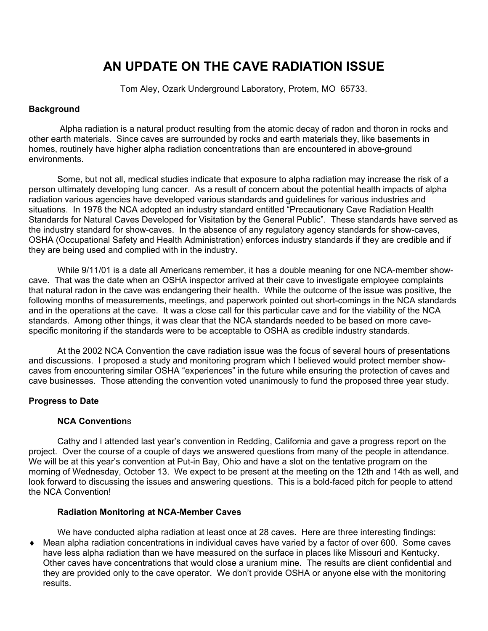## **AN UPDATE ON THE CAVE RADIATION ISSUE**

Tom Aley, Ozark Underground Laboratory, Protem, MO 65733.

### **Background**

 Alpha radiation is a natural product resulting from the atomic decay of radon and thoron in rocks and other earth materials. Since caves are surrounded by rocks and earth materials they, like basements in homes, routinely have higher alpha radiation concentrations than are encountered in above-ground environments.

 Some, but not all, medical studies indicate that exposure to alpha radiation may increase the risk of a person ultimately developing lung cancer. As a result of concern about the potential health impacts of alpha radiation various agencies have developed various standards and guidelines for various industries and situations. In 1978 the NCA adopted an industry standard entitled "Precautionary Cave Radiation Health Standards for Natural Caves Developed for Visitation by the General Public". These standards have served as the industry standard for show-caves. In the absence of any regulatory agency standards for show-caves, OSHA (Occupational Safety and Health Administration) enforces industry standards if they are credible and if they are being used and complied with in the industry.

 While 9/11/01 is a date all Americans remember, it has a double meaning for one NCA-member showcave. That was the date when an OSHA inspector arrived at their cave to investigate employee complaints that natural radon in the cave was endangering their health. While the outcome of the issue was positive, the following months of measurements, meetings, and paperwork pointed out short-comings in the NCA standards and in the operations at the cave. It was a close call for this particular cave and for the viability of the NCA standards. Among other things, it was clear that the NCA standards needed to be based on more cavespecific monitoring if the standards were to be acceptable to OSHA as credible industry standards.

 At the 2002 NCA Convention the cave radiation issue was the focus of several hours of presentations and discussions. I proposed a study and monitoring program which I believed would protect member showcaves from encountering similar OSHA "experiences" in the future while ensuring the protection of caves and cave businesses. Those attending the convention voted unanimously to fund the proposed three year study.

#### **Progress to Date**

#### **NCA Convention**s

Cathy and I attended last year's convention in Redding, California and gave a progress report on the project. Over the course of a couple of days we answered questions from many of the people in attendance. We will be at this year's convention at Put-in Bay, Ohio and have a slot on the tentative program on the morning of Wednesday, October 13. We expect to be present at the meeting on the 12th and 14th as well, and look forward to discussing the issues and answering questions. This is a bold-faced pitch for people to attend the NCA Convention!

### **Radiation Monitoring at NCA-Member Caves**

We have conducted alpha radiation at least once at 28 caves. Here are three interesting findings: ♦ Mean alpha radiation concentrations in individual caves have varied by a factor of over 600. Some caves have less alpha radiation than we have measured on the surface in places like Missouri and Kentucky. Other caves have concentrations that would close a uranium mine. The results are client confidential and they are provided only to the cave operator. We don't provide OSHA or anyone else with the monitoring results.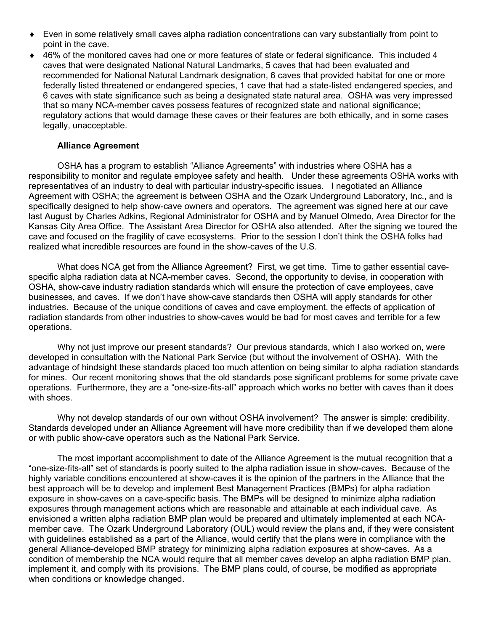- ♦ Even in some relatively small caves alpha radiation concentrations can vary substantially from point to point in the cave.
- ◆ 46% of the monitored caves had one or more features of state or federal significance. This included 4 caves that were designated National Natural Landmarks, 5 caves that had been evaluated and recommended for National Natural Landmark designation, 6 caves that provided habitat for one or more federally listed threatened or endangered species, 1 cave that had a state-listed endangered species, and 6 caves with state significance such as being a designated state natural area. OSHA was very impressed that so many NCA-member caves possess features of recognized state and national significance; regulatory actions that would damage these caves or their features are both ethically, and in some cases legally, unacceptable.

### **Alliance Agreement**

 OSHA has a program to establish "Alliance Agreements" with industries where OSHA has a responsibility to monitor and regulate employee safety and health. Under these agreements OSHA works with representatives of an industry to deal with particular industry-specific issues. I negotiated an Alliance Agreement with OSHA; the agreement is between OSHA and the Ozark Underground Laboratory, Inc., and is specifically designed to help show-cave owners and operators. The agreement was signed here at our cave last August by Charles Adkins, Regional Administrator for OSHA and by Manuel Olmedo, Area Director for the Kansas City Area Office. The Assistant Area Director for OSHA also attended. After the signing we toured the cave and focused on the fragility of cave ecosystems. Prior to the session I don't think the OSHA folks had realized what incredible resources are found in the show-caves of the U.S.

 What does NCA get from the Alliance Agreement? First, we get time. Time to gather essential cavespecific alpha radiation data at NCA-member caves. Second, the opportunity to devise, in cooperation with OSHA, show-cave industry radiation standards which will ensure the protection of cave employees, cave businesses, and caves. If we don't have show-cave standards then OSHA will apply standards for other industries. Because of the unique conditions of caves and cave employment, the effects of application of radiation standards from other industries to show-caves would be bad for most caves and terrible for a few operations.

Why not just improve our present standards? Our previous standards, which I also worked on, were developed in consultation with the National Park Service (but without the involvement of OSHA). With the advantage of hindsight these standards placed too much attention on being similar to alpha radiation standards for mines. Our recent monitoring shows that the old standards pose significant problems for some private cave operations. Furthermore, they are a "one-size-fits-all" approach which works no better with caves than it does with shoes.

 Why not develop standards of our own without OSHA involvement? The answer is simple: credibility. Standards developed under an Alliance Agreement will have more credibility than if we developed them alone or with public show-cave operators such as the National Park Service.

 The most important accomplishment to date of the Alliance Agreement is the mutual recognition that a "one-size-fits-all" set of standards is poorly suited to the alpha radiation issue in show-caves. Because of the highly variable conditions encountered at show-caves it is the opinion of the partners in the Alliance that the best approach will be to develop and implement Best Management Practices (BMPs) for alpha radiation exposure in show-caves on a cave-specific basis. The BMPs will be designed to minimize alpha radiation exposures through management actions which are reasonable and attainable at each individual cave. As envisioned a written alpha radiation BMP plan would be prepared and ultimately implemented at each NCAmember cave. The Ozark Underground Laboratory (OUL) would review the plans and, if they were consistent with guidelines established as a part of the Alliance, would certify that the plans were in compliance with the general Alliance-developed BMP strategy for minimizing alpha radiation exposures at show-caves. As a condition of membership the NCA would require that all member caves develop an alpha radiation BMP plan, implement it, and comply with its provisions. The BMP plans could, of course, be modified as appropriate when conditions or knowledge changed.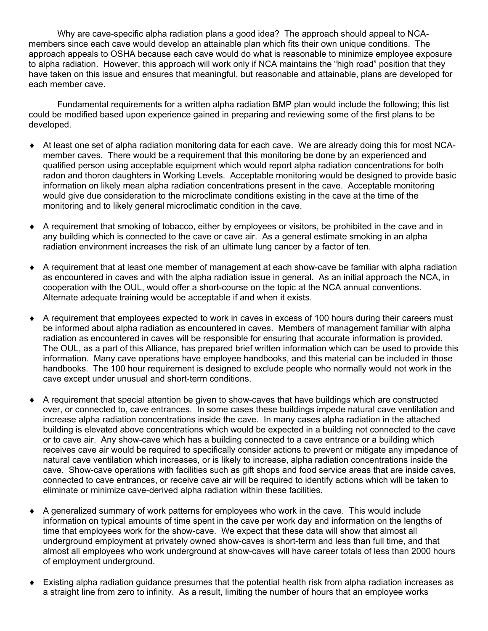Why are cave-specific alpha radiation plans a good idea? The approach should appeal to NCAmembers since each cave would develop an attainable plan which fits their own unique conditions. The approach appeals to OSHA because each cave would do what is reasonable to minimize employee exposure to alpha radiation. However, this approach will work only if NCA maintains the "high road" position that they have taken on this issue and ensures that meaningful, but reasonable and attainable, plans are developed for each member cave.

Fundamental requirements for a written alpha radiation BMP plan would include the following; this list could be modified based upon experience gained in preparing and reviewing some of the first plans to be developed.

- ♦ At least one set of alpha radiation monitoring data for each cave. We are already doing this for most NCAmember caves. There would be a requirement that this monitoring be done by an experienced and qualified person using acceptable equipment which would report alpha radiation concentrations for both radon and thoron daughters in Working Levels. Acceptable monitoring would be designed to provide basic information on likely mean alpha radiation concentrations present in the cave. Acceptable monitoring would give due consideration to the microclimate conditions existing in the cave at the time of the monitoring and to likely general microclimatic condition in the cave.
- ♦ A requirement that smoking of tobacco, either by employees or visitors, be prohibited in the cave and in any building which is connected to the cave or cave air. As a general estimate smoking in an alpha radiation environment increases the risk of an ultimate lung cancer by a factor of ten.
- ♦ A requirement that at least one member of management at each show-cave be familiar with alpha radiation as encountered in caves and with the alpha radiation issue in general. As an initial approach the NCA, in cooperation with the OUL, would offer a short-course on the topic at the NCA annual conventions. Alternate adequate training would be acceptable if and when it exists.
- ♦ A requirement that employees expected to work in caves in excess of 100 hours during their careers must be informed about alpha radiation as encountered in caves. Members of management familiar with alpha radiation as encountered in caves will be responsible for ensuring that accurate information is provided. The OUL, as a part of this Alliance, has prepared brief written information which can be used to provide this information. Many cave operations have employee handbooks, and this material can be included in those handbooks. The 100 hour requirement is designed to exclude people who normally would not work in the cave except under unusual and short-term conditions.
- ♦ A requirement that special attention be given to show-caves that have buildings which are constructed over, or connected to, cave entrances. In some cases these buildings impede natural cave ventilation and increase alpha radiation concentrations inside the cave. In many cases alpha radiation in the attached building is elevated above concentrations which would be expected in a building not connected to the cave or to cave air. Any show-cave which has a building connected to a cave entrance or a building which receives cave air would be required to specifically consider actions to prevent or mitigate any impedance of natural cave ventilation which increases, or is likely to increase, alpha radiation concentrations inside the cave. Show-cave operations with facilities such as gift shops and food service areas that are inside caves, connected to cave entrances, or receive cave air will be required to identify actions which will be taken to eliminate or minimize cave-derived alpha radiation within these facilities.
- ♦ A generalized summary of work patterns for employees who work in the cave. This would include information on typical amounts of time spent in the cave per work day and information on the lengths of time that employees work for the show-cave. We expect that these data will show that almost all underground employment at privately owned show-caves is short-term and less than full time, and that almost all employees who work underground at show-caves will have career totals of less than 2000 hours of employment underground.
- Existing alpha radiation guidance presumes that the potential health risk from alpha radiation increases as a straight line from zero to infinity. As a result, limiting the number of hours that an employee works